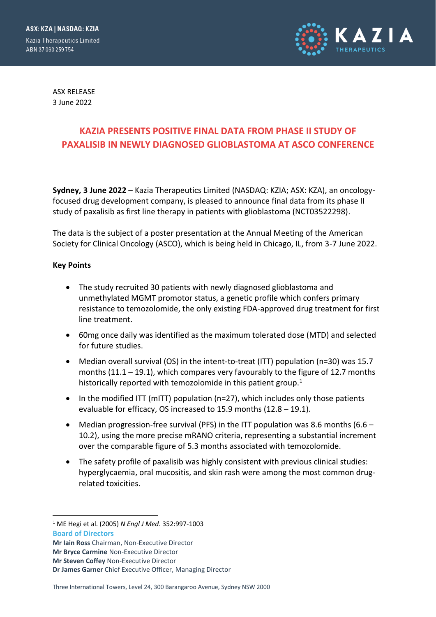

ASX RELEASE 3 June 2022

# **KAZIA PRESENTS POSITIVE FINAL DATA FROM PHASE II STUDY OF PAXALISIB IN NEWLY DIAGNOSED GLIOBLASTOMA AT ASCO CONFERENCE**

**Sydney, 3 June 2022** – Kazia Therapeutics Limited (NASDAQ: KZIA; ASX: KZA), an oncologyfocused drug development company, is pleased to announce final data from its phase II study of paxalisib as first line therapy in patients with glioblastoma (NCT03522298).

The data is the subject of a poster presentation at the Annual Meeting of the American Society for Clinical Oncology (ASCO), which is being held in Chicago, IL, from 3-7 June 2022.

#### **Key Points**

- The study recruited 30 patients with newly diagnosed glioblastoma and unmethylated MGMT promotor status, a genetic profile which confers primary resistance to temozolomide, the only existing FDA-approved drug treatment for first line treatment.
- 60mg once daily was identified as the maximum tolerated dose (MTD) and selected for future studies.
- Median overall survival (OS) in the intent-to-treat (ITT) population (n=30) was 15.7 months (11.1 – 19.1), which compares very favourably to the figure of 12.7 months historically reported with temozolomide in this patient group.<sup>1</sup>
- In the modified ITT (mITT) population (n=27), which includes only those patients evaluable for efficacy, OS increased to 15.9 months (12.8 – 19.1).
- Median progression-free survival (PFS) in the ITT population was 8.6 months (6.6 10.2), using the more precise mRANO criteria, representing a substantial increment over the comparable figure of 5.3 months associated with temozolomide.
- The safety profile of paxalisib was highly consistent with previous clinical studies: hyperglycaemia, oral mucositis, and skin rash were among the most common drugrelated toxicities.

**Board of Directors** <sup>1</sup> ME Hegi et al. (2005) *N Engl J Med*. 352:997-1003

**Mr Iain Ross** Chairman, Non-Executive Director

**Mr Bryce Carmine** Non-Executive Director

**Mr Steven Coffey** Non-Executive Director

**Dr James Garner** Chief Executive Officer, Managing Director

Three International Towers, Level 24, 300 Barangaroo Avenue, Sydney NSW 2000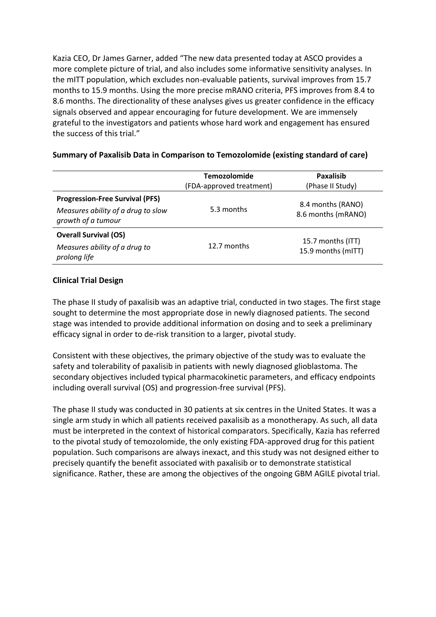Kazia CEO, Dr James Garner, added "The new data presented today at ASCO provides a more complete picture of trial, and also includes some informative sensitivity analyses. In the mITT population, which excludes non-evaluable patients, survival improves from 15.7 months to 15.9 months. Using the more precise mRANO criteria, PFS improves from 8.4 to 8.6 months. The directionality of these analyses gives us greater confidence in the efficacy signals observed and appear encouraging for future development. We are immensely grateful to the investigators and patients whose hard work and engagement has ensured the success of this trial."

|                                                                                                    | <b>Temozolomide</b><br>(FDA-approved treatment) | <b>Paxalisib</b><br>(Phase II Study)    |
|----------------------------------------------------------------------------------------------------|-------------------------------------------------|-----------------------------------------|
| <b>Progression-Free Survival (PFS)</b><br>Measures ability of a drug to slow<br>growth of a tumour | 5.3 months                                      | 8.4 months (RANO)<br>8.6 months (mRANO) |
| <b>Overall Survival (OS)</b><br>Measures ability of a drug to<br>prolong life                      | 12.7 months                                     | 15.7 months (ITT)<br>15.9 months (mITT) |

#### **Summary of Paxalisib Data in Comparison to Temozolomide (existing standard of care)**

## **Clinical Trial Design**

The phase II study of paxalisib was an adaptive trial, conducted in two stages. The first stage sought to determine the most appropriate dose in newly diagnosed patients. The second stage was intended to provide additional information on dosing and to seek a preliminary efficacy signal in order to de-risk transition to a larger, pivotal study.

Consistent with these objectives, the primary objective of the study was to evaluate the safety and tolerability of paxalisib in patients with newly diagnosed glioblastoma. The secondary objectives included typical pharmacokinetic parameters, and efficacy endpoints including overall survival (OS) and progression-free survival (PFS).

The phase II study was conducted in 30 patients at six centres in the United States. It was a single arm study in which all patients received paxalisib as a monotherapy. As such, all data must be interpreted in the context of historical comparators. Specifically, Kazia has referred to the pivotal study of temozolomide, the only existing FDA-approved drug for this patient population. Such comparisons are always inexact, and this study was not designed either to precisely quantify the benefit associated with paxalisib or to demonstrate statistical significance. Rather, these are among the objectives of the ongoing GBM AGILE pivotal trial.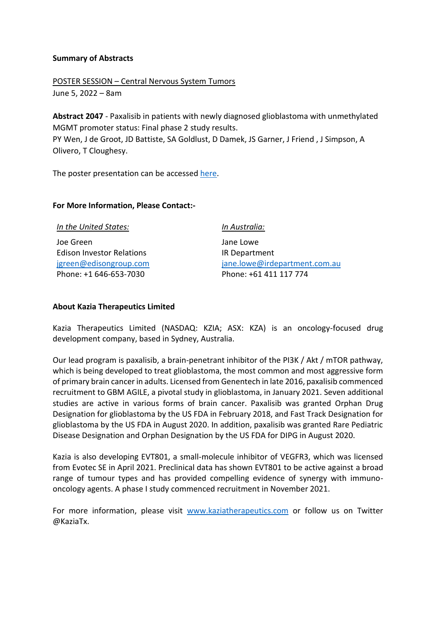## **Summary of Abstracts**

POSTER SESSION – Central Nervous System Tumors June 5, 2022 – 8am

**Abstract 2047** - Paxalisib in patients with newly diagnosed glioblastoma with unmethylated MGMT promoter status: Final phase 2 study results. PY Wen, J de Groot, JD Battiste, SA Goldlust, D Damek, JS Garner, J Friend , J Simpson, A Olivero, T Cloughesy.

The poster presentation can be accessed [here.](https://www.kaziatherapeutics.com/site/PDF/20d73af0-baca-426a-bf04-8ccf94133bfd/PaxalisibphaseIIstudyposterpresentedasASCO2022)

# **For More Information, Please Contact:-**

Joe Green Edison Investor Relations [jgreen@edisongroup.com](mailto:jgreen@edisongroup.com) Phone: +1 646-653-7030

*In Australia:*

Jane Lowe IR Department [jane.lowe@irdepartment.com.au](mailto:jane.lowe@irdepartment.com.au) Phone: +61 411 117 774

## **About Kazia Therapeutics Limited**

Kazia Therapeutics Limited (NASDAQ: KZIA; ASX: KZA) is an oncology-focused drug development company, based in Sydney, Australia.

Our lead program is paxalisib, a brain-penetrant inhibitor of the PI3K / Akt / mTOR pathway, which is being developed to treat glioblastoma, the most common and most aggressive form of primary brain cancer in adults. Licensed from Genentech in late 2016, paxalisib commenced recruitment to GBM AGILE, a pivotal study in glioblastoma, in January 2021. Seven additional studies are active in various forms of brain cancer. Paxalisib was granted Orphan Drug Designation for glioblastoma by the US FDA in February 2018, and Fast Track Designation for glioblastoma by the US FDA in August 2020. In addition, paxalisib was granted Rare Pediatric Disease Designation and Orphan Designation by the US FDA for DIPG in August 2020.

Kazia is also developing EVT801, a small-molecule inhibitor of VEGFR3, which was licensed from Evotec SE in April 2021. Preclinical data has shown EVT801 to be active against a broad range of tumour types and has provided compelling evidence of synergy with immunooncology agents. A phase I study commenced recruitment in November 2021.

For more information, please visit [www.kaziatherapeutics.com](http://www.kaziatherapeutics.com/) or follow us on Twitter @KaziaTx.